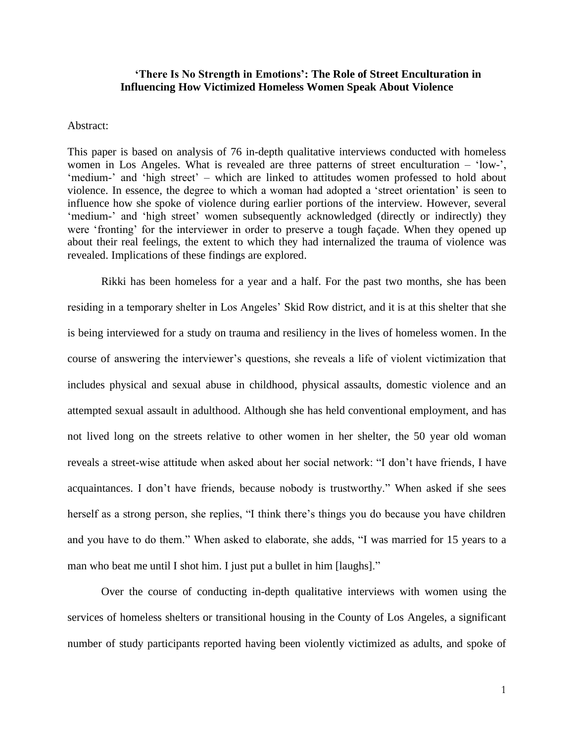# **'There Is No Strength in Emotions': The Role of Street Enculturation in Influencing How Victimized Homeless Women Speak About Violence**

#### Abstract:

This paper is based on analysis of 76 in-depth qualitative interviews conducted with homeless women in Los Angeles. What is revealed are three patterns of street enculturation – 'low-', 'medium-' and 'high street' – which are linked to attitudes women professed to hold about violence. In essence, the degree to which a woman had adopted a 'street orientation' is seen to influence how she spoke of violence during earlier portions of the interview. However, several 'medium-' and 'high street' women subsequently acknowledged (directly or indirectly) they were 'fronting' for the interviewer in order to preserve a tough façade. When they opened up about their real feelings, the extent to which they had internalized the trauma of violence was revealed. Implications of these findings are explored.

Rikki has been homeless for a year and a half. For the past two months, she has been residing in a temporary shelter in Los Angeles' Skid Row district, and it is at this shelter that she is being interviewed for a study on trauma and resiliency in the lives of homeless women. In the course of answering the interviewer's questions, she reveals a life of violent victimization that includes physical and sexual abuse in childhood, physical assaults, domestic violence and an attempted sexual assault in adulthood. Although she has held conventional employment, and has not lived long on the streets relative to other women in her shelter, the 50 year old woman reveals a street-wise attitude when asked about her social network: "I don't have friends, I have acquaintances. I don't have friends, because nobody is trustworthy." When asked if she sees herself as a strong person, she replies, "I think there's things you do because you have children and you have to do them." When asked to elaborate, she adds, "I was married for 15 years to a man who beat me until I shot him. I just put a bullet in him [laughs]."

Over the course of conducting in-depth qualitative interviews with women using the services of homeless shelters or transitional housing in the County of Los Angeles, a significant number of study participants reported having been violently victimized as adults, and spoke of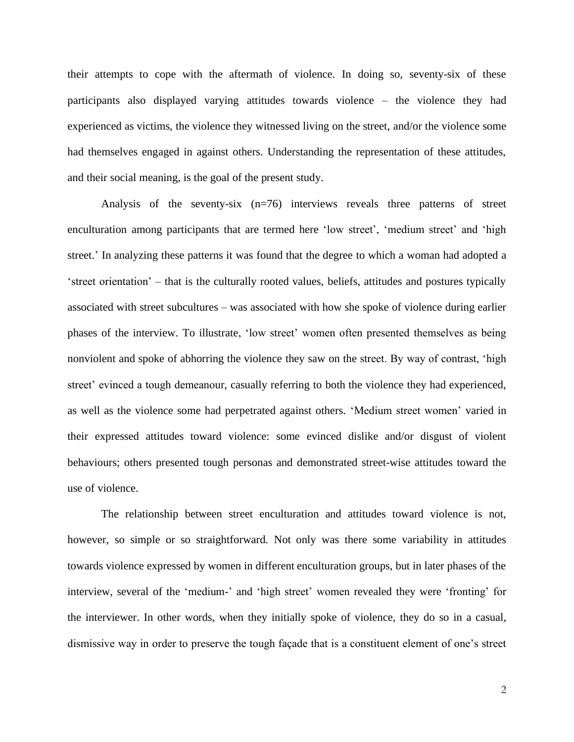their attempts to cope with the aftermath of violence. In doing so, seventy-six of these participants also displayed varying attitudes towards violence – the violence they had experienced as victims, the violence they witnessed living on the street, and/or the violence some had themselves engaged in against others. Understanding the representation of these attitudes, and their social meaning, is the goal of the present study.

Analysis of the seventy-six (n=76) interviews reveals three patterns of street enculturation among participants that are termed here 'low street', 'medium street' and 'high street.' In analyzing these patterns it was found that the degree to which a woman had adopted a 'street orientation' – that is the culturally rooted values, beliefs, attitudes and postures typically associated with street subcultures – was associated with how she spoke of violence during earlier phases of the interview. To illustrate, 'low street' women often presented themselves as being nonviolent and spoke of abhorring the violence they saw on the street. By way of contrast, 'high street' evinced a tough demeanour, casually referring to both the violence they had experienced, as well as the violence some had perpetrated against others. 'Medium street women' varied in their expressed attitudes toward violence: some evinced dislike and/or disgust of violent behaviours; others presented tough personas and demonstrated street-wise attitudes toward the use of violence.

The relationship between street enculturation and attitudes toward violence is not, however, so simple or so straightforward. Not only was there some variability in attitudes towards violence expressed by women in different enculturation groups, but in later phases of the interview, several of the 'medium-' and 'high street' women revealed they were 'fronting' for the interviewer. In other words, when they initially spoke of violence, they do so in a casual, dismissive way in order to preserve the tough façade that is a constituent element of one's street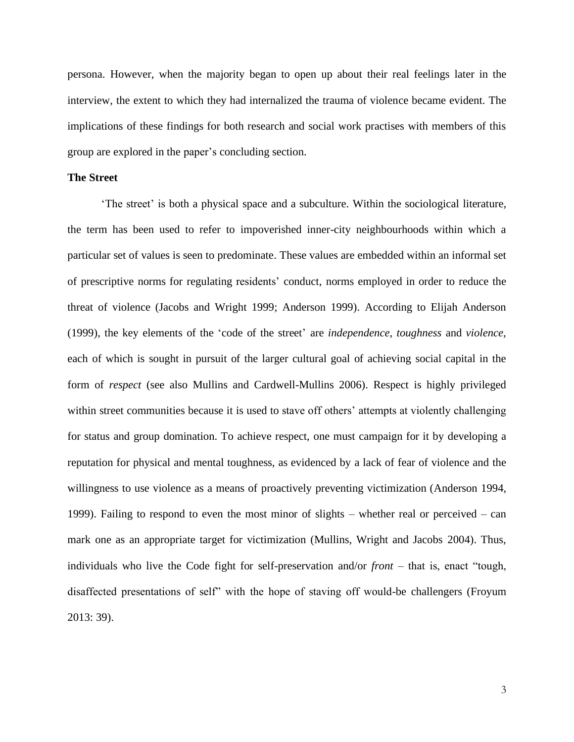persona. However, when the majority began to open up about their real feelings later in the interview, the extent to which they had internalized the trauma of violence became evident. The implications of these findings for both research and social work practises with members of this group are explored in the paper's concluding section.

### **The Street**

'The street' is both a physical space and a subculture. Within the sociological literature, the term has been used to refer to impoverished inner-city neighbourhoods within which a particular set of values is seen to predominate. These values are embedded within an informal set of prescriptive norms for regulating residents' conduct, norms employed in order to reduce the threat of violence (Jacobs and Wright 1999; Anderson 1999). According to Elijah Anderson (1999), the key elements of the 'code of the street' are *independence*, *toughness* and *violence*, each of which is sought in pursuit of the larger cultural goal of achieving social capital in the form of *respect* (see also Mullins and Cardwell-Mullins 2006). Respect is highly privileged within street communities because it is used to stave off others' attempts at violently challenging for status and group domination. To achieve respect, one must campaign for it by developing a reputation for physical and mental toughness, as evidenced by a lack of fear of violence and the willingness to use violence as a means of proactively preventing victimization (Anderson 1994, 1999). Failing to respond to even the most minor of slights – whether real or perceived – can mark one as an appropriate target for victimization (Mullins, Wright and Jacobs 2004). Thus, individuals who live the Code fight for self-preservation and/or *front* – that is, enact "tough, disaffected presentations of self" with the hope of staving off would-be challengers (Froyum 2013: 39).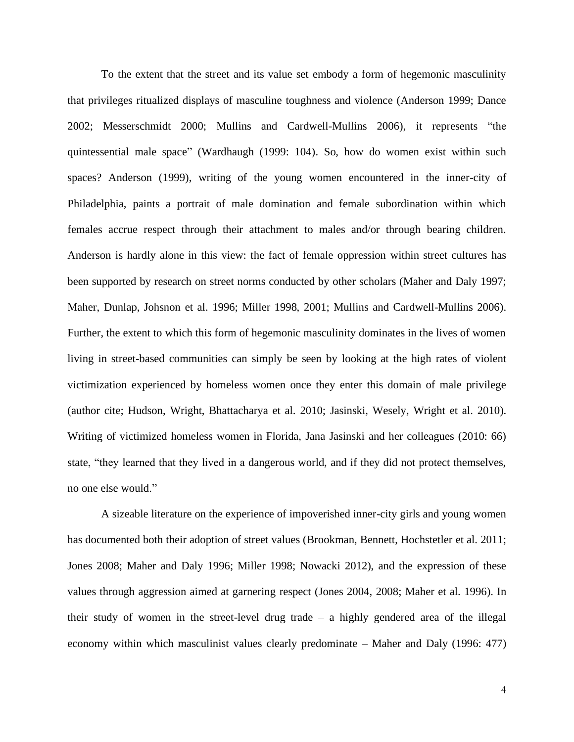To the extent that the street and its value set embody a form of hegemonic masculinity that privileges ritualized displays of masculine toughness and violence (Anderson 1999; Dance 2002; Messerschmidt 2000; Mullins and Cardwell-Mullins 2006), it represents "the quintessential male space" (Wardhaugh (1999: 104). So, how do women exist within such spaces? Anderson (1999), writing of the young women encountered in the inner-city of Philadelphia, paints a portrait of male domination and female subordination within which females accrue respect through their attachment to males and/or through bearing children. Anderson is hardly alone in this view: the fact of female oppression within street cultures has been supported by research on street norms conducted by other scholars (Maher and Daly 1997; Maher, Dunlap, Johsnon et al. 1996; Miller 1998, 2001; Mullins and Cardwell-Mullins 2006). Further, the extent to which this form of hegemonic masculinity dominates in the lives of women living in street-based communities can simply be seen by looking at the high rates of violent victimization experienced by homeless women once they enter this domain of male privilege (author cite; Hudson, Wright, Bhattacharya et al. 2010; Jasinski, Wesely, Wright et al. 2010). Writing of victimized homeless women in Florida, Jana Jasinski and her colleagues (2010: 66) state, "they learned that they lived in a dangerous world, and if they did not protect themselves, no one else would."

A sizeable literature on the experience of impoverished inner-city girls and young women has documented both their adoption of street values (Brookman, Bennett, Hochstetler et al. 2011; Jones 2008; Maher and Daly 1996; Miller 1998; Nowacki 2012), and the expression of these values through aggression aimed at garnering respect (Jones 2004, 2008; Maher et al. 1996). In their study of women in the street-level drug trade – a highly gendered area of the illegal economy within which masculinist values clearly predominate – Maher and Daly (1996: 477)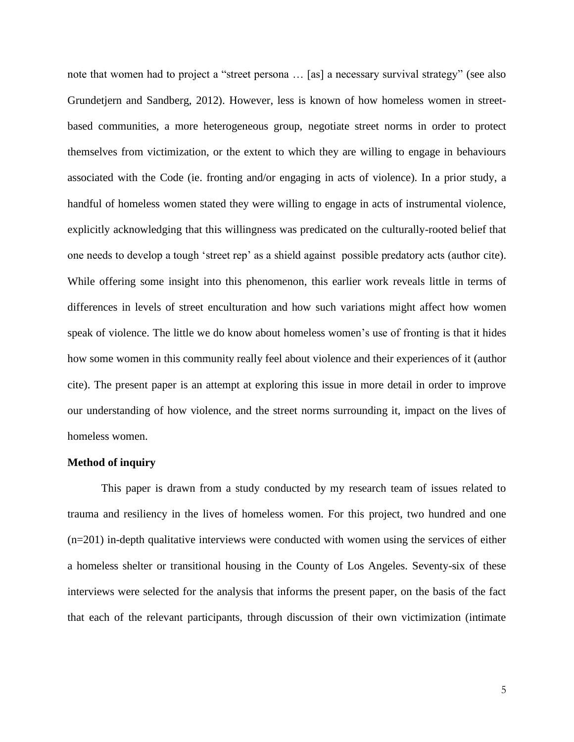note that women had to project a "street persona … [as] a necessary survival strategy" (see also Grundetjern and Sandberg, 2012). However, less is known of how homeless women in streetbased communities, a more heterogeneous group, negotiate street norms in order to protect themselves from victimization, or the extent to which they are willing to engage in behaviours associated with the Code (ie. fronting and/or engaging in acts of violence). In a prior study, a handful of homeless women stated they were willing to engage in acts of instrumental violence, explicitly acknowledging that this willingness was predicated on the culturally-rooted belief that one needs to develop a tough 'street rep' as a shield against possible predatory acts (author cite). While offering some insight into this phenomenon, this earlier work reveals little in terms of differences in levels of street enculturation and how such variations might affect how women speak of violence. The little we do know about homeless women's use of fronting is that it hides how some women in this community really feel about violence and their experiences of it (author cite). The present paper is an attempt at exploring this issue in more detail in order to improve our understanding of how violence, and the street norms surrounding it, impact on the lives of homeless women.

#### **Method of inquiry**

This paper is drawn from a study conducted by my research team of issues related to trauma and resiliency in the lives of homeless women. For this project, two hundred and one (n=201) in-depth qualitative interviews were conducted with women using the services of either a homeless shelter or transitional housing in the County of Los Angeles. Seventy-six of these interviews were selected for the analysis that informs the present paper, on the basis of the fact that each of the relevant participants, through discussion of their own victimization (intimate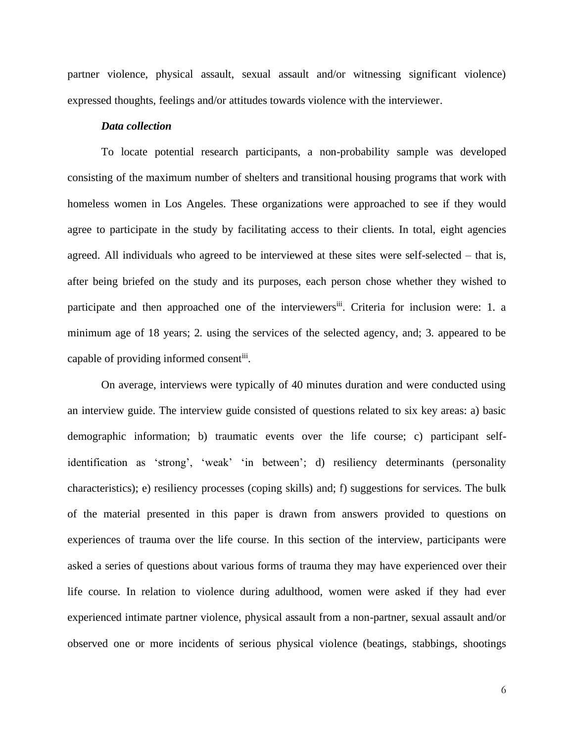partner violence, physical assault, sexual assault and/or witnessing significant violence) expressed thoughts, feelings and/or attitudes towards violence with the interviewer.

### *Data collection*

To locate potential research participants, a non-probability sample was developed consisting of the maximum number of shelters and transitional housing programs that work with homeless women in Los Angeles. These organizations were approached to see if they would agree to participate in the study by facilitating access to their clients. In total, eight agencies agreed. All individuals who agreed to be interviewed at these sites were self-selected – that is, after being briefed on the study and its purposes, each person chose whether they wished to participate and then approached one of the interviewers<sup>iii</sup>. Criteria for inclusion were: 1. a minimum age of 18 years; 2. using the services of the selected agency, and; 3. appeared to be capable of providing informed consentiii.

On average, interviews were typically of 40 minutes duration and were conducted using an interview guide. The interview guide consisted of questions related to six key areas: a) basic demographic information; b) traumatic events over the life course; c) participant selfidentification as 'strong', 'weak' 'in between'; d) resiliency determinants (personality characteristics); e) resiliency processes (coping skills) and; f) suggestions for services. The bulk of the material presented in this paper is drawn from answers provided to questions on experiences of trauma over the life course. In this section of the interview, participants were asked a series of questions about various forms of trauma they may have experienced over their life course. In relation to violence during adulthood, women were asked if they had ever experienced intimate partner violence, physical assault from a non-partner, sexual assault and/or observed one or more incidents of serious physical violence (beatings, stabbings, shootings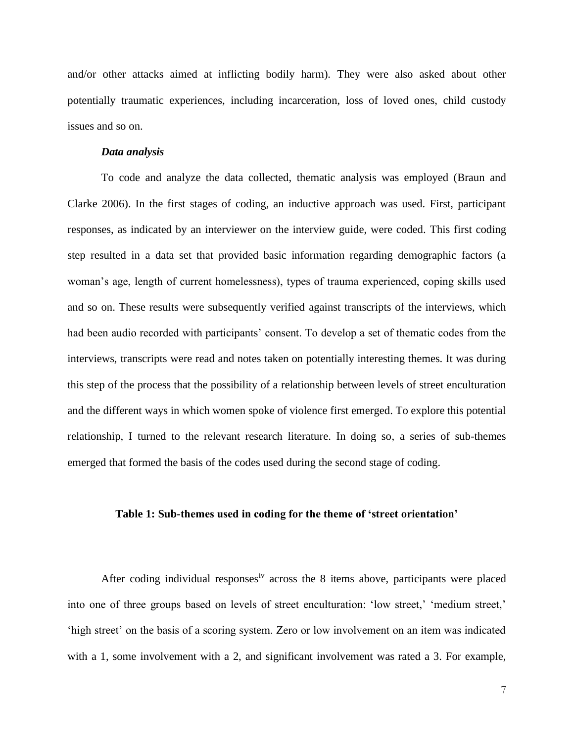and/or other attacks aimed at inflicting bodily harm). They were also asked about other potentially traumatic experiences, including incarceration, loss of loved ones, child custody issues and so on.

#### *Data analysis*

To code and analyze the data collected, thematic analysis was employed (Braun and Clarke 2006). In the first stages of coding, an inductive approach was used. First, participant responses, as indicated by an interviewer on the interview guide, were coded. This first coding step resulted in a data set that provided basic information regarding demographic factors (a woman's age, length of current homelessness), types of trauma experienced, coping skills used and so on. These results were subsequently verified against transcripts of the interviews, which had been audio recorded with participants' consent. To develop a set of thematic codes from the interviews, transcripts were read and notes taken on potentially interesting themes. It was during this step of the process that the possibility of a relationship between levels of street enculturation and the different ways in which women spoke of violence first emerged. To explore this potential relationship, I turned to the relevant research literature. In doing so, a series of sub-themes emerged that formed the basis of the codes used during the second stage of coding.

#### **Table 1: Sub-themes used in coding for the theme of 'street orientation'**

After coding individual responses<sup>iv</sup> across the 8 items above, participants were placed into one of three groups based on levels of street enculturation: 'low street,' 'medium street,' 'high street' on the basis of a scoring system. Zero or low involvement on an item was indicated with a 1, some involvement with a 2, and significant involvement was rated a 3. For example,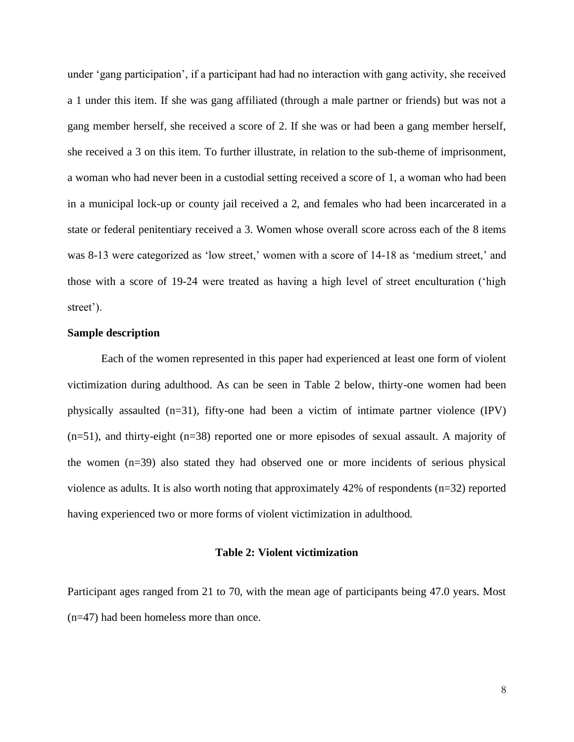under 'gang participation', if a participant had had no interaction with gang activity, she received a 1 under this item. If she was gang affiliated (through a male partner or friends) but was not a gang member herself, she received a score of 2. If she was or had been a gang member herself, she received a 3 on this item. To further illustrate, in relation to the sub-theme of imprisonment, a woman who had never been in a custodial setting received a score of 1, a woman who had been in a municipal lock-up or county jail received a 2, and females who had been incarcerated in a state or federal penitentiary received a 3. Women whose overall score across each of the 8 items was 8-13 were categorized as 'low street,' women with a score of 14-18 as 'medium street,' and those with a score of 19-24 were treated as having a high level of street enculturation ('high street').

### **Sample description**

Each of the women represented in this paper had experienced at least one form of violent victimization during adulthood. As can be seen in Table 2 below, thirty-one women had been physically assaulted (n=31), fifty-one had been a victim of intimate partner violence (IPV) (n=51), and thirty-eight (n=38) reported one or more episodes of sexual assault. A majority of the women (n=39) also stated they had observed one or more incidents of serious physical violence as adults. It is also worth noting that approximately 42% of respondents (n=32) reported having experienced two or more forms of violent victimization in adulthood.

### **Table 2: Violent victimization**

Participant ages ranged from 21 to 70, with the mean age of participants being 47.0 years. Most (n=47) had been homeless more than once.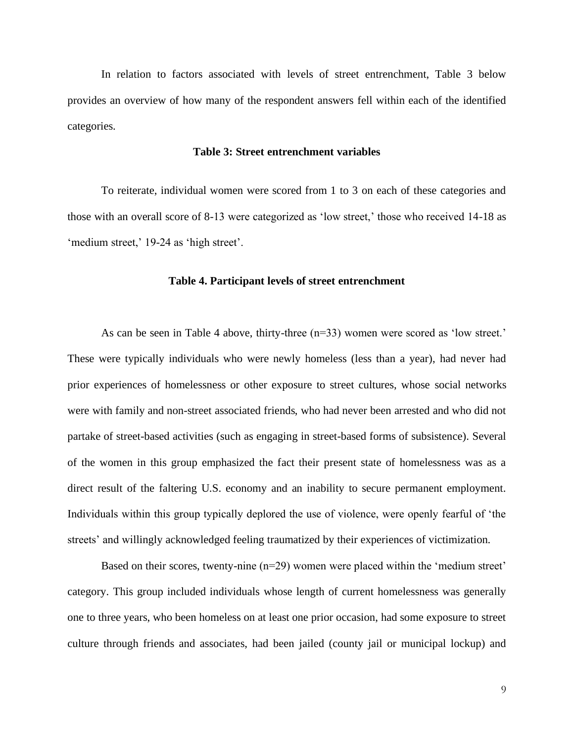In relation to factors associated with levels of street entrenchment, Table 3 below provides an overview of how many of the respondent answers fell within each of the identified categories.

### **Table 3: Street entrenchment variables**

To reiterate, individual women were scored from 1 to 3 on each of these categories and those with an overall score of 8-13 were categorized as 'low street,' those who received 14-18 as 'medium street,' 19-24 as 'high street'.

#### **Table 4. Participant levels of street entrenchment**

As can be seen in Table 4 above, thirty-three (n=33) women were scored as 'low street.' These were typically individuals who were newly homeless (less than a year), had never had prior experiences of homelessness or other exposure to street cultures, whose social networks were with family and non-street associated friends, who had never been arrested and who did not partake of street-based activities (such as engaging in street-based forms of subsistence). Several of the women in this group emphasized the fact their present state of homelessness was as a direct result of the faltering U.S. economy and an inability to secure permanent employment. Individuals within this group typically deplored the use of violence, were openly fearful of 'the streets' and willingly acknowledged feeling traumatized by their experiences of victimization.

Based on their scores, twenty-nine (n=29) women were placed within the 'medium street' category. This group included individuals whose length of current homelessness was generally one to three years, who been homeless on at least one prior occasion, had some exposure to street culture through friends and associates, had been jailed (county jail or municipal lockup) and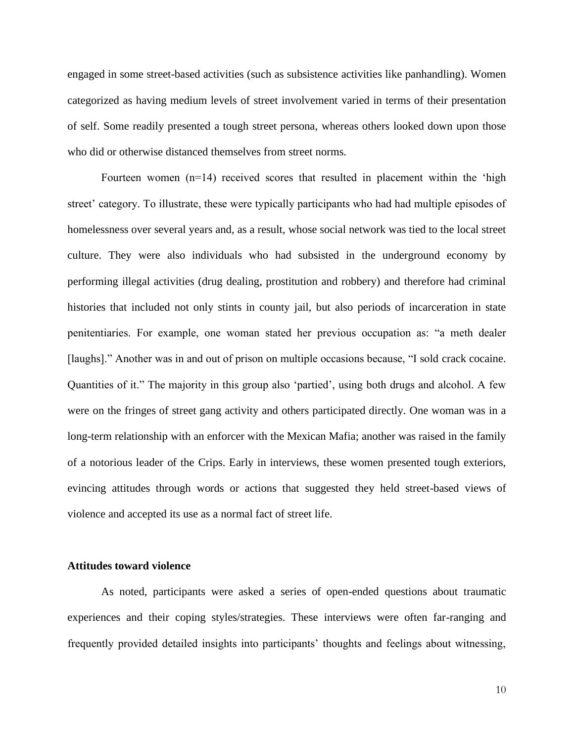engaged in some street-based activities (such as subsistence activities like panhandling). Women categorized as having medium levels of street involvement varied in terms of their presentation of self. Some readily presented a tough street persona, whereas others looked down upon those who did or otherwise distanced themselves from street norms.

Fourteen women  $(n=14)$  received scores that resulted in placement within the 'high street' category. To illustrate, these were typically participants who had had multiple episodes of homelessness over several years and, as a result, whose social network was tied to the local street culture. They were also individuals who had subsisted in the underground economy by performing illegal activities (drug dealing, prostitution and robbery) and therefore had criminal histories that included not only stints in county jail, but also periods of incarceration in state penitentiaries. For example, one woman stated her previous occupation as: "a meth dealer [laughs]." Another was in and out of prison on multiple occasions because, "I sold crack cocaine. Quantities of it." The majority in this group also 'partied', using both drugs and alcohol. A few were on the fringes of street gang activity and others participated directly. One woman was in a long-term relationship with an enforcer with the Mexican Mafia; another was raised in the family of a notorious leader of the Crips. Early in interviews, these women presented tough exteriors, evincing attitudes through words or actions that suggested they held street-based views of violence and accepted its use as a normal fact of street life.

### **Attitudes toward violence**

As noted, participants were asked a series of open-ended questions about traumatic experiences and their coping styles/strategies. These interviews were often far-ranging and frequently provided detailed insights into participants' thoughts and feelings about witnessing,

10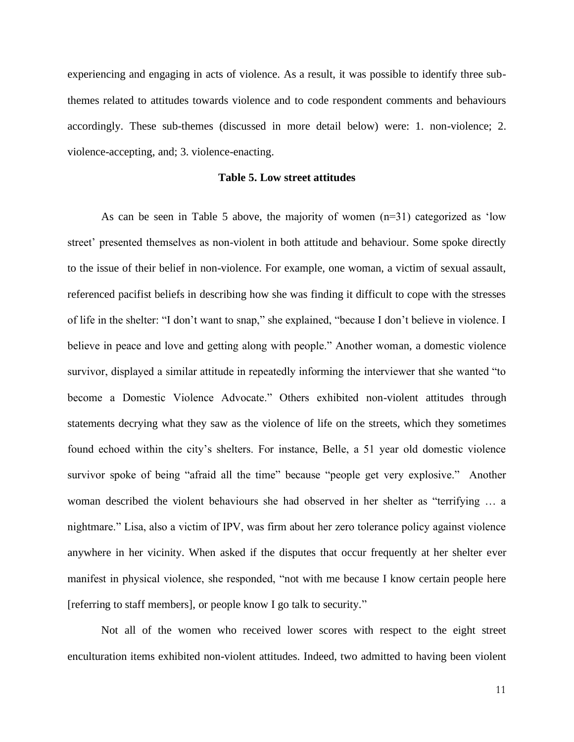experiencing and engaging in acts of violence. As a result, it was possible to identify three subthemes related to attitudes towards violence and to code respondent comments and behaviours accordingly. These sub-themes (discussed in more detail below) were: 1. non-violence; 2. violence-accepting, and; 3. violence-enacting.

# **Table 5. Low street attitudes**

As can be seen in Table 5 above, the majority of women (n=31) categorized as 'low street' presented themselves as non-violent in both attitude and behaviour. Some spoke directly to the issue of their belief in non-violence. For example, one woman, a victim of sexual assault, referenced pacifist beliefs in describing how she was finding it difficult to cope with the stresses of life in the shelter: "I don't want to snap," she explained, "because I don't believe in violence. I believe in peace and love and getting along with people." Another woman, a domestic violence survivor, displayed a similar attitude in repeatedly informing the interviewer that she wanted "to become a Domestic Violence Advocate." Others exhibited non-violent attitudes through statements decrying what they saw as the violence of life on the streets, which they sometimes found echoed within the city's shelters. For instance, Belle, a 51 year old domestic violence survivor spoke of being "afraid all the time" because "people get very explosive." Another woman described the violent behaviours she had observed in her shelter as "terrifying … a nightmare." Lisa, also a victim of IPV, was firm about her zero tolerance policy against violence anywhere in her vicinity. When asked if the disputes that occur frequently at her shelter ever manifest in physical violence, she responded, "not with me because I know certain people here [referring to staff members], or people know I go talk to security."

 Not all of the women who received lower scores with respect to the eight street enculturation items exhibited non-violent attitudes. Indeed, two admitted to having been violent

11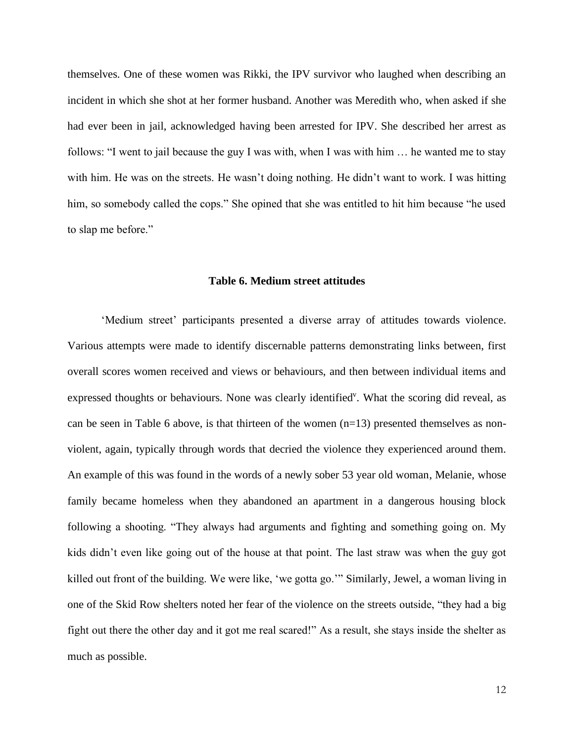themselves. One of these women was Rikki, the IPV survivor who laughed when describing an incident in which she shot at her former husband. Another was Meredith who, when asked if she had ever been in jail, acknowledged having been arrested for IPV. She described her arrest as follows: "I went to jail because the guy I was with, when I was with him … he wanted me to stay with him. He was on the streets. He wasn't doing nothing. He didn't want to work. I was hitting him, so somebody called the cops." She opined that she was entitled to hit him because "he used to slap me before."

# **Table 6. Medium street attitudes**

'Medium street' participants presented a diverse array of attitudes towards violence. Various attempts were made to identify discernable patterns demonstrating links between, first overall scores women received and views or behaviours, and then between individual items and expressed thoughts or behaviours. None was clearly identified<sup>v</sup>. What the scoring did reveal, as can be seen in Table 6 above, is that thirteen of the women  $(n=13)$  presented themselves as nonviolent, again, typically through words that decried the violence they experienced around them. An example of this was found in the words of a newly sober 53 year old woman, Melanie, whose family became homeless when they abandoned an apartment in a dangerous housing block following a shooting. "They always had arguments and fighting and something going on. My kids didn't even like going out of the house at that point. The last straw was when the guy got killed out front of the building. We were like, 'we gotta go.'" Similarly, Jewel, a woman living in one of the Skid Row shelters noted her fear of the violence on the streets outside, "they had a big fight out there the other day and it got me real scared!" As a result, she stays inside the shelter as much as possible.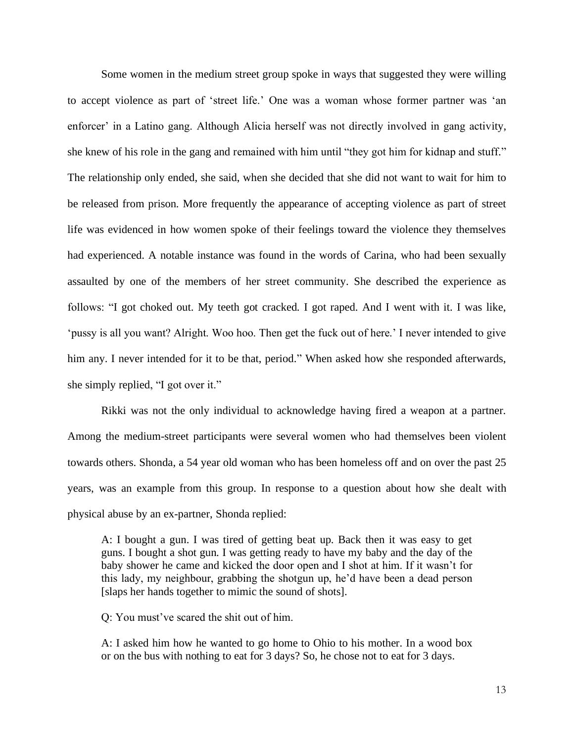Some women in the medium street group spoke in ways that suggested they were willing to accept violence as part of 'street life.' One was a woman whose former partner was 'an enforcer' in a Latino gang. Although Alicia herself was not directly involved in gang activity, she knew of his role in the gang and remained with him until "they got him for kidnap and stuff." The relationship only ended, she said, when she decided that she did not want to wait for him to be released from prison. More frequently the appearance of accepting violence as part of street life was evidenced in how women spoke of their feelings toward the violence they themselves had experienced. A notable instance was found in the words of Carina, who had been sexually assaulted by one of the members of her street community. She described the experience as follows: "I got choked out. My teeth got cracked. I got raped. And I went with it. I was like, 'pussy is all you want? Alright. Woo hoo. Then get the fuck out of here.' I never intended to give him any. I never intended for it to be that, period." When asked how she responded afterwards, she simply replied, "I got over it."

Rikki was not the only individual to acknowledge having fired a weapon at a partner. Among the medium-street participants were several women who had themselves been violent towards others. Shonda, a 54 year old woman who has been homeless off and on over the past 25 years, was an example from this group. In response to a question about how she dealt with physical abuse by an ex-partner, Shonda replied:

A: I bought a gun. I was tired of getting beat up. Back then it was easy to get guns. I bought a shot gun. I was getting ready to have my baby and the day of the baby shower he came and kicked the door open and I shot at him. If it wasn't for this lady, my neighbour, grabbing the shotgun up, he'd have been a dead person [slaps her hands together to mimic the sound of shots].

Q: You must've scared the shit out of him.

A: I asked him how he wanted to go home to Ohio to his mother. In a wood box or on the bus with nothing to eat for 3 days? So, he chose not to eat for 3 days.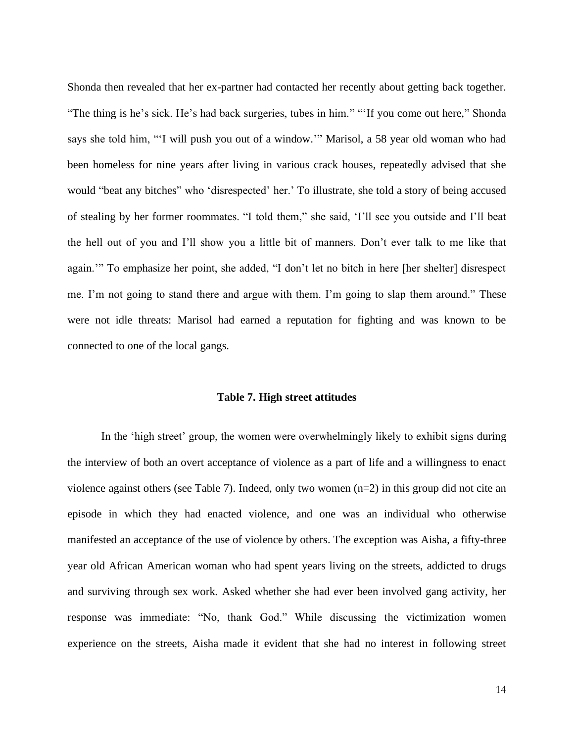Shonda then revealed that her ex-partner had contacted her recently about getting back together. "The thing is he's sick. He's had back surgeries, tubes in him." "'If you come out here," Shonda says she told him, "'I will push you out of a window.'" Marisol, a 58 year old woman who had been homeless for nine years after living in various crack houses, repeatedly advised that she would "beat any bitches" who 'disrespected' her.' To illustrate, she told a story of being accused of stealing by her former roommates. "I told them," she said, 'I'll see you outside and I'll beat the hell out of you and I'll show you a little bit of manners. Don't ever talk to me like that again.'" To emphasize her point, she added, "I don't let no bitch in here [her shelter] disrespect me. I'm not going to stand there and argue with them. I'm going to slap them around." These were not idle threats: Marisol had earned a reputation for fighting and was known to be connected to one of the local gangs.

### **Table 7. High street attitudes**

In the 'high street' group, the women were overwhelmingly likely to exhibit signs during the interview of both an overt acceptance of violence as a part of life and a willingness to enact violence against others (see Table 7). Indeed, only two women (n=2) in this group did not cite an episode in which they had enacted violence, and one was an individual who otherwise manifested an acceptance of the use of violence by others. The exception was Aisha, a fifty-three year old African American woman who had spent years living on the streets, addicted to drugs and surviving through sex work. Asked whether she had ever been involved gang activity, her response was immediate: "No, thank God." While discussing the victimization women experience on the streets, Aisha made it evident that she had no interest in following street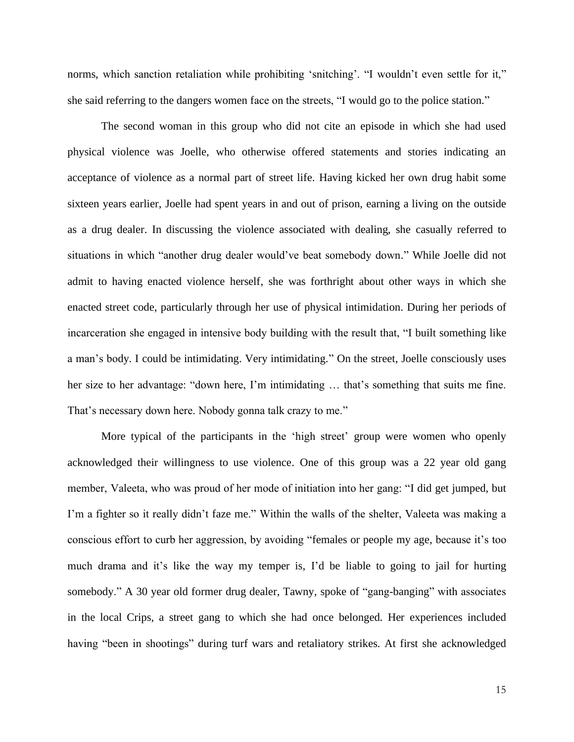norms, which sanction retaliation while prohibiting 'snitching'. "I wouldn't even settle for it," she said referring to the dangers women face on the streets, "I would go to the police station."

The second woman in this group who did not cite an episode in which she had used physical violence was Joelle, who otherwise offered statements and stories indicating an acceptance of violence as a normal part of street life. Having kicked her own drug habit some sixteen years earlier, Joelle had spent years in and out of prison, earning a living on the outside as a drug dealer. In discussing the violence associated with dealing, she casually referred to situations in which "another drug dealer would've beat somebody down." While Joelle did not admit to having enacted violence herself, she was forthright about other ways in which she enacted street code, particularly through her use of physical intimidation. During her periods of incarceration she engaged in intensive body building with the result that, "I built something like a man's body. I could be intimidating. Very intimidating." On the street, Joelle consciously uses her size to her advantage: "down here, I'm intimidating … that's something that suits me fine. That's necessary down here. Nobody gonna talk crazy to me."

More typical of the participants in the 'high street' group were women who openly acknowledged their willingness to use violence. One of this group was a 22 year old gang member, Valeeta, who was proud of her mode of initiation into her gang: "I did get jumped, but I'm a fighter so it really didn't faze me." Within the walls of the shelter, Valeeta was making a conscious effort to curb her aggression, by avoiding "females or people my age, because it's too much drama and it's like the way my temper is, I'd be liable to going to jail for hurting somebody." A 30 year old former drug dealer, Tawny, spoke of "gang-banging" with associates in the local Crips, a street gang to which she had once belonged. Her experiences included having "been in shootings" during turf wars and retaliatory strikes. At first she acknowledged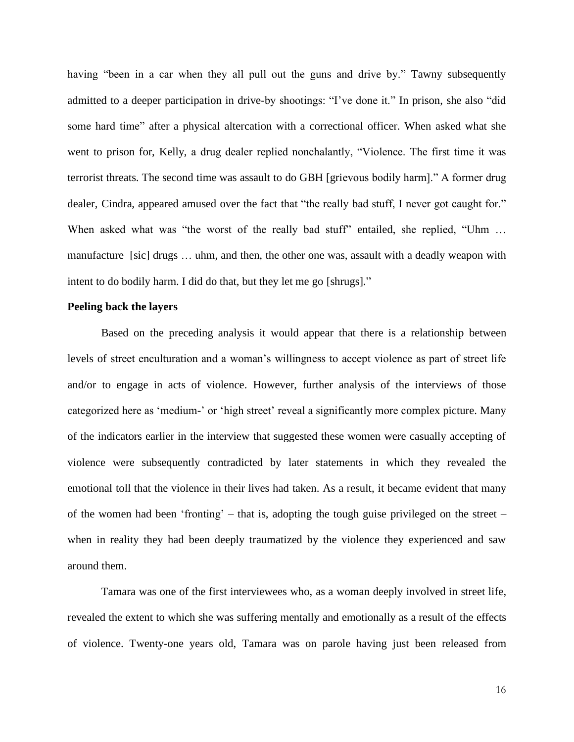having "been in a car when they all pull out the guns and drive by." Tawny subsequently admitted to a deeper participation in drive-by shootings: "I've done it." In prison, she also "did some hard time" after a physical altercation with a correctional officer. When asked what she went to prison for, Kelly, a drug dealer replied nonchalantly, "Violence. The first time it was terrorist threats. The second time was assault to do GBH [grievous bodily harm]." A former drug dealer, Cindra, appeared amused over the fact that "the really bad stuff, I never got caught for." When asked what was "the worst of the really bad stuff" entailed, she replied, "Uhm ... manufacture [sic] drugs … uhm, and then, the other one was, assault with a deadly weapon with intent to do bodily harm. I did do that, but they let me go [shrugs]."

#### **Peeling back the layers**

Based on the preceding analysis it would appear that there is a relationship between levels of street enculturation and a woman's willingness to accept violence as part of street life and/or to engage in acts of violence. However, further analysis of the interviews of those categorized here as 'medium-' or 'high street' reveal a significantly more complex picture. Many of the indicators earlier in the interview that suggested these women were casually accepting of violence were subsequently contradicted by later statements in which they revealed the emotional toll that the violence in their lives had taken. As a result, it became evident that many of the women had been 'fronting' – that is, adopting the tough guise privileged on the street – when in reality they had been deeply traumatized by the violence they experienced and saw around them.

Tamara was one of the first interviewees who, as a woman deeply involved in street life, revealed the extent to which she was suffering mentally and emotionally as a result of the effects of violence. Twenty-one years old, Tamara was on parole having just been released from

16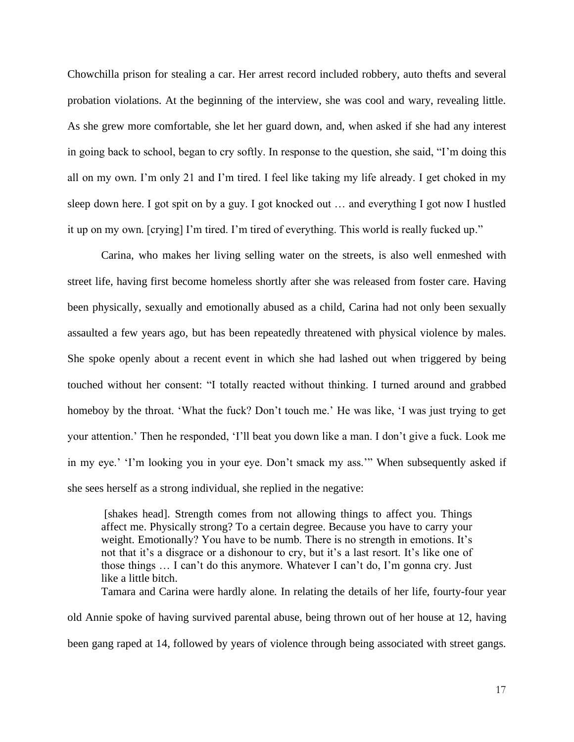Chowchilla prison for stealing a car. Her arrest record included robbery, auto thefts and several probation violations. At the beginning of the interview, she was cool and wary, revealing little. As she grew more comfortable, she let her guard down, and, when asked if she had any interest in going back to school, began to cry softly. In response to the question, she said, "I'm doing this all on my own. I'm only 21 and I'm tired. I feel like taking my life already. I get choked in my sleep down here. I got spit on by a guy. I got knocked out … and everything I got now I hustled it up on my own. [crying] I'm tired. I'm tired of everything. This world is really fucked up."

Carina, who makes her living selling water on the streets, is also well enmeshed with street life, having first become homeless shortly after she was released from foster care. Having been physically, sexually and emotionally abused as a child, Carina had not only been sexually assaulted a few years ago, but has been repeatedly threatened with physical violence by males. She spoke openly about a recent event in which she had lashed out when triggered by being touched without her consent: "I totally reacted without thinking. I turned around and grabbed homeboy by the throat. 'What the fuck? Don't touch me.' He was like, 'I was just trying to get your attention.' Then he responded, 'I'll beat you down like a man. I don't give a fuck. Look me in my eye.' 'I'm looking you in your eye. Don't smack my ass.'" When subsequently asked if she sees herself as a strong individual, she replied in the negative:

[shakes head]. Strength comes from not allowing things to affect you. Things affect me. Physically strong? To a certain degree. Because you have to carry your weight. Emotionally? You have to be numb. There is no strength in emotions. It's not that it's a disgrace or a dishonour to cry, but it's a last resort. It's like one of those things … I can't do this anymore. Whatever I can't do, I'm gonna cry. Just like a little bitch.

Tamara and Carina were hardly alone. In relating the details of her life, fourty-four year

old Annie spoke of having survived parental abuse, being thrown out of her house at 12, having been gang raped at 14, followed by years of violence through being associated with street gangs.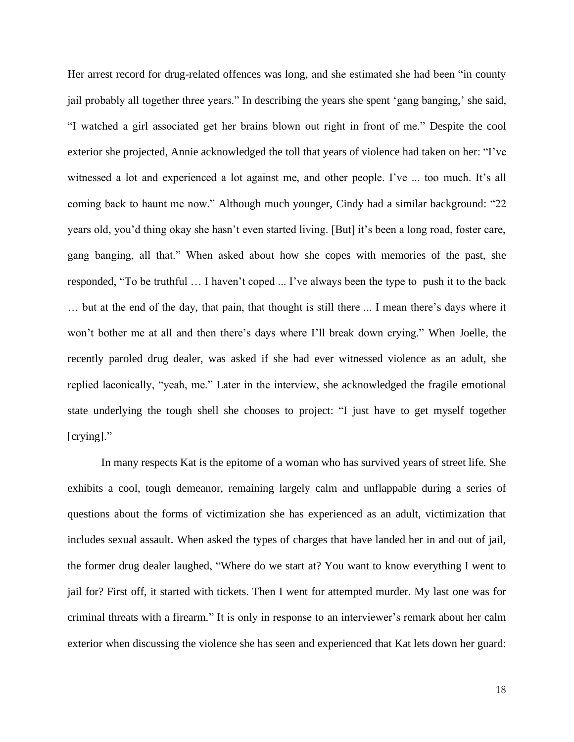Her arrest record for drug-related offences was long, and she estimated she had been "in county jail probably all together three years." In describing the years she spent 'gang banging,' she said, "I watched a girl associated get her brains blown out right in front of me." Despite the cool exterior she projected, Annie acknowledged the toll that years of violence had taken on her: "I've witnessed a lot and experienced a lot against me, and other people. I've ... too much. It's all coming back to haunt me now." Although much younger, Cindy had a similar background: "22 years old, you'd thing okay she hasn't even started living. [But] it's been a long road, foster care, gang banging, all that." When asked about how she copes with memories of the past, she responded, "To be truthful … I haven't coped ... I've always been the type to push it to the back … but at the end of the day, that pain, that thought is still there ... I mean there's days where it won't bother me at all and then there's days where I'll break down crying." When Joelle, the recently paroled drug dealer, was asked if she had ever witnessed violence as an adult, she replied laconically, "yeah, me." Later in the interview, she acknowledged the fragile emotional state underlying the tough shell she chooses to project: "I just have to get myself together [crying]."

In many respects Kat is the epitome of a woman who has survived years of street life. She exhibits a cool, tough demeanor, remaining largely calm and unflappable during a series of questions about the forms of victimization she has experienced as an adult, victimization that includes sexual assault. When asked the types of charges that have landed her in and out of jail, the former drug dealer laughed, "Where do we start at? You want to know everything I went to jail for? First off, it started with tickets. Then I went for attempted murder. My last one was for criminal threats with a firearm." It is only in response to an interviewer's remark about her calm exterior when discussing the violence she has seen and experienced that Kat lets down her guard: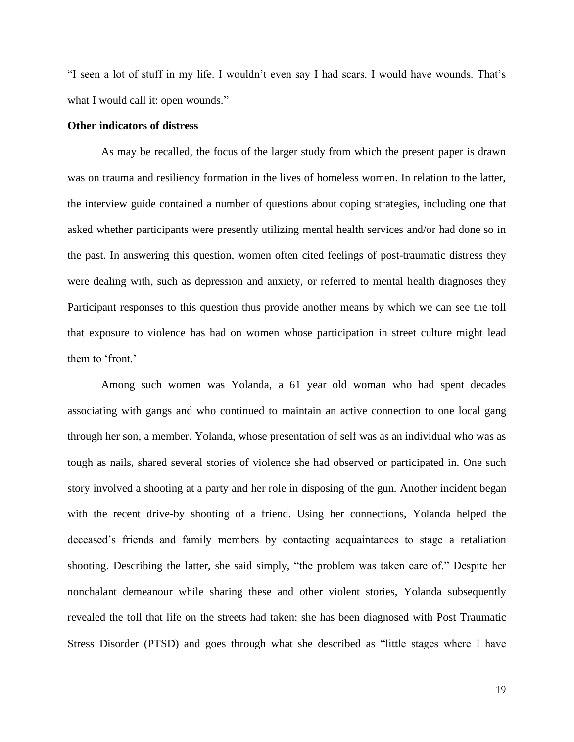"I seen a lot of stuff in my life. I wouldn't even say I had scars. I would have wounds. That's what I would call it: open wounds."

### **Other indicators of distress**

As may be recalled, the focus of the larger study from which the present paper is drawn was on trauma and resiliency formation in the lives of homeless women. In relation to the latter, the interview guide contained a number of questions about coping strategies, including one that asked whether participants were presently utilizing mental health services and/or had done so in the past. In answering this question, women often cited feelings of post-traumatic distress they were dealing with, such as depression and anxiety, or referred to mental health diagnoses they Participant responses to this question thus provide another means by which we can see the toll that exposure to violence has had on women whose participation in street culture might lead them to 'front.'

Among such women was Yolanda, a 61 year old woman who had spent decades associating with gangs and who continued to maintain an active connection to one local gang through her son, a member. Yolanda, whose presentation of self was as an individual who was as tough as nails, shared several stories of violence she had observed or participated in. One such story involved a shooting at a party and her role in disposing of the gun. Another incident began with the recent drive-by shooting of a friend. Using her connections, Yolanda helped the deceased's friends and family members by contacting acquaintances to stage a retaliation shooting. Describing the latter, she said simply, "the problem was taken care of." Despite her nonchalant demeanour while sharing these and other violent stories, Yolanda subsequently revealed the toll that life on the streets had taken: she has been diagnosed with Post Traumatic Stress Disorder (PTSD) and goes through what she described as "little stages where I have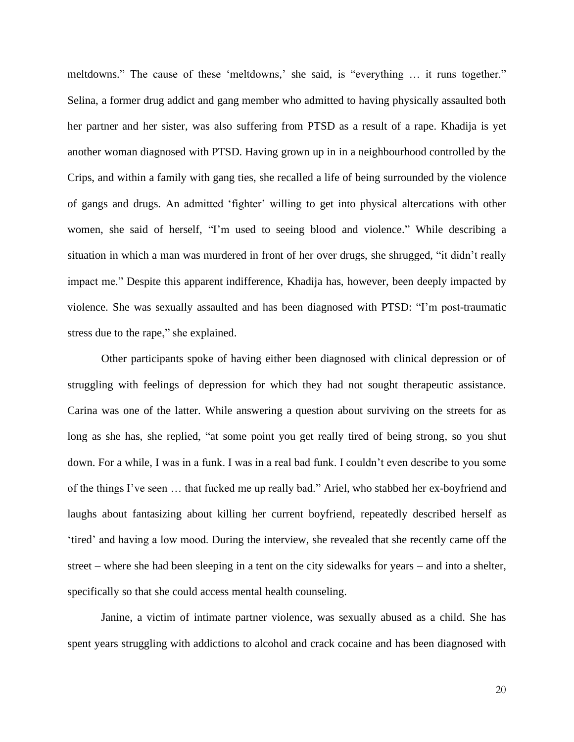meltdowns." The cause of these 'meltdowns,' she said, is "everything … it runs together." Selina, a former drug addict and gang member who admitted to having physically assaulted both her partner and her sister, was also suffering from PTSD as a result of a rape. Khadija is yet another woman diagnosed with PTSD. Having grown up in in a neighbourhood controlled by the Crips, and within a family with gang ties, she recalled a life of being surrounded by the violence of gangs and drugs. An admitted 'fighter' willing to get into physical altercations with other women, she said of herself, "I'm used to seeing blood and violence." While describing a situation in which a man was murdered in front of her over drugs, she shrugged, "it didn't really impact me." Despite this apparent indifference, Khadija has, however, been deeply impacted by violence. She was sexually assaulted and has been diagnosed with PTSD: "I'm post-traumatic stress due to the rape," she explained.

Other participants spoke of having either been diagnosed with clinical depression or of struggling with feelings of depression for which they had not sought therapeutic assistance. Carina was one of the latter. While answering a question about surviving on the streets for as long as she has, she replied, "at some point you get really tired of being strong, so you shut down. For a while, I was in a funk. I was in a real bad funk. I couldn't even describe to you some of the things I've seen … that fucked me up really bad." Ariel, who stabbed her ex-boyfriend and laughs about fantasizing about killing her current boyfriend, repeatedly described herself as 'tired' and having a low mood. During the interview, she revealed that she recently came off the street – where she had been sleeping in a tent on the city sidewalks for years – and into a shelter, specifically so that she could access mental health counseling.

Janine, a victim of intimate partner violence, was sexually abused as a child. She has spent years struggling with addictions to alcohol and crack cocaine and has been diagnosed with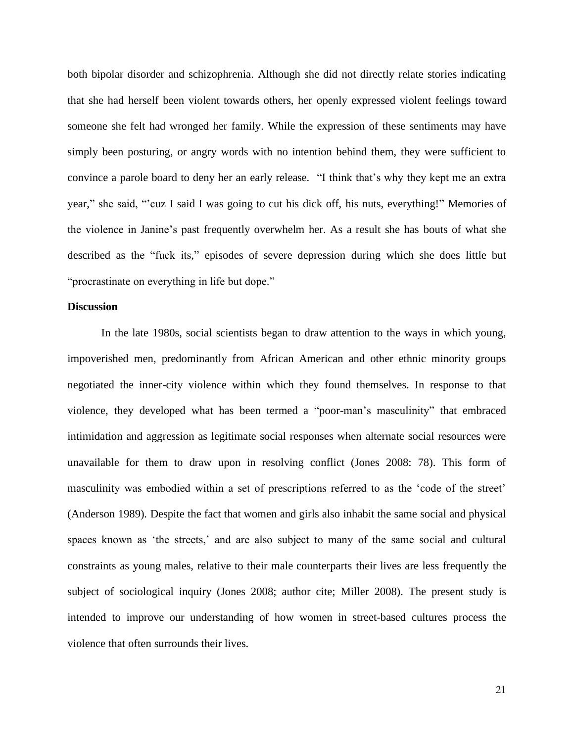both bipolar disorder and schizophrenia. Although she did not directly relate stories indicating that she had herself been violent towards others, her openly expressed violent feelings toward someone she felt had wronged her family. While the expression of these sentiments may have simply been posturing, or angry words with no intention behind them, they were sufficient to convince a parole board to deny her an early release. "I think that's why they kept me an extra year," she said, "'cuz I said I was going to cut his dick off, his nuts, everything!" Memories of the violence in Janine's past frequently overwhelm her. As a result she has bouts of what she described as the "fuck its," episodes of severe depression during which she does little but "procrastinate on everything in life but dope."

### **Discussion**

In the late 1980s, social scientists began to draw attention to the ways in which young, impoverished men, predominantly from African American and other ethnic minority groups negotiated the inner-city violence within which they found themselves. In response to that violence, they developed what has been termed a "poor-man's masculinity" that embraced intimidation and aggression as legitimate social responses when alternate social resources were unavailable for them to draw upon in resolving conflict (Jones 2008: 78). This form of masculinity was embodied within a set of prescriptions referred to as the 'code of the street' (Anderson 1989). Despite the fact that women and girls also inhabit the same social and physical spaces known as 'the streets,' and are also subject to many of the same social and cultural constraints as young males, relative to their male counterparts their lives are less frequently the subject of sociological inquiry (Jones 2008; author cite; Miller 2008). The present study is intended to improve our understanding of how women in street-based cultures process the violence that often surrounds their lives.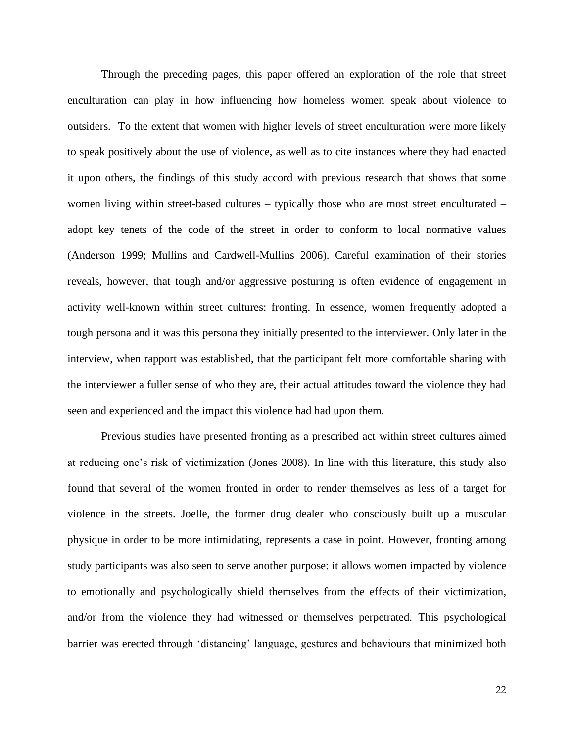Through the preceding pages, this paper offered an exploration of the role that street enculturation can play in how influencing how homeless women speak about violence to outsiders. To the extent that women with higher levels of street enculturation were more likely to speak positively about the use of violence, as well as to cite instances where they had enacted it upon others, the findings of this study accord with previous research that shows that some women living within street-based cultures – typically those who are most street enculturated – adopt key tenets of the code of the street in order to conform to local normative values (Anderson 1999; Mullins and Cardwell-Mullins 2006). Careful examination of their stories reveals, however, that tough and/or aggressive posturing is often evidence of engagement in activity well-known within street cultures: fronting. In essence, women frequently adopted a tough persona and it was this persona they initially presented to the interviewer. Only later in the interview, when rapport was established, that the participant felt more comfortable sharing with the interviewer a fuller sense of who they are, their actual attitudes toward the violence they had seen and experienced and the impact this violence had had upon them.

Previous studies have presented fronting as a prescribed act within street cultures aimed at reducing one's risk of victimization (Jones 2008). In line with this literature, this study also found that several of the women fronted in order to render themselves as less of a target for violence in the streets. Joelle, the former drug dealer who consciously built up a muscular physique in order to be more intimidating, represents a case in point. However, fronting among study participants was also seen to serve another purpose: it allows women impacted by violence to emotionally and psychologically shield themselves from the effects of their victimization, and/or from the violence they had witnessed or themselves perpetrated. This psychological barrier was erected through 'distancing' language, gestures and behaviours that minimized both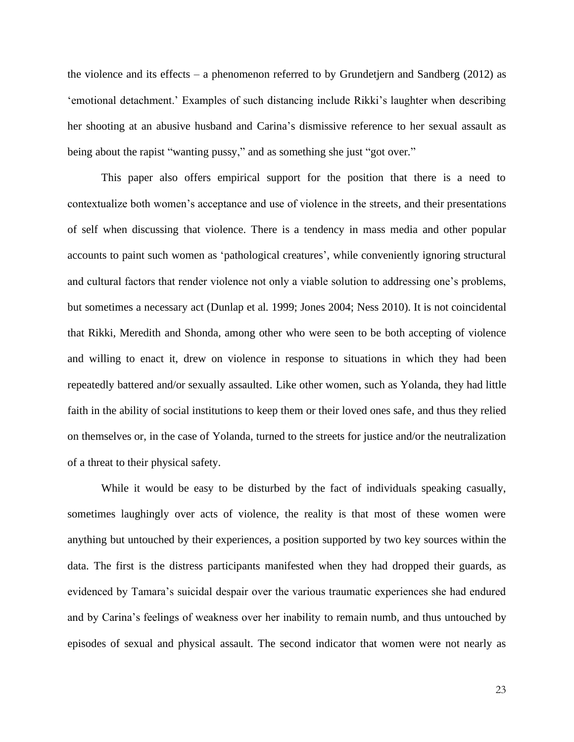the violence and its effects – a phenomenon referred to by Grundetjern and Sandberg  $(2012)$  as 'emotional detachment.' Examples of such distancing include Rikki's laughter when describing her shooting at an abusive husband and Carina's dismissive reference to her sexual assault as being about the rapist "wanting pussy," and as something she just "got over."

This paper also offers empirical support for the position that there is a need to contextualize both women's acceptance and use of violence in the streets, and their presentations of self when discussing that violence. There is a tendency in mass media and other popular accounts to paint such women as 'pathological creatures', while conveniently ignoring structural and cultural factors that render violence not only a viable solution to addressing one's problems, but sometimes a necessary act (Dunlap et al. 1999; Jones 2004; Ness 2010). It is not coincidental that Rikki, Meredith and Shonda, among other who were seen to be both accepting of violence and willing to enact it, drew on violence in response to situations in which they had been repeatedly battered and/or sexually assaulted. Like other women, such as Yolanda, they had little faith in the ability of social institutions to keep them or their loved ones safe, and thus they relied on themselves or, in the case of Yolanda, turned to the streets for justice and/or the neutralization of a threat to their physical safety.

While it would be easy to be disturbed by the fact of individuals speaking casually, sometimes laughingly over acts of violence, the reality is that most of these women were anything but untouched by their experiences, a position supported by two key sources within the data. The first is the distress participants manifested when they had dropped their guards, as evidenced by Tamara's suicidal despair over the various traumatic experiences she had endured and by Carina's feelings of weakness over her inability to remain numb, and thus untouched by episodes of sexual and physical assault. The second indicator that women were not nearly as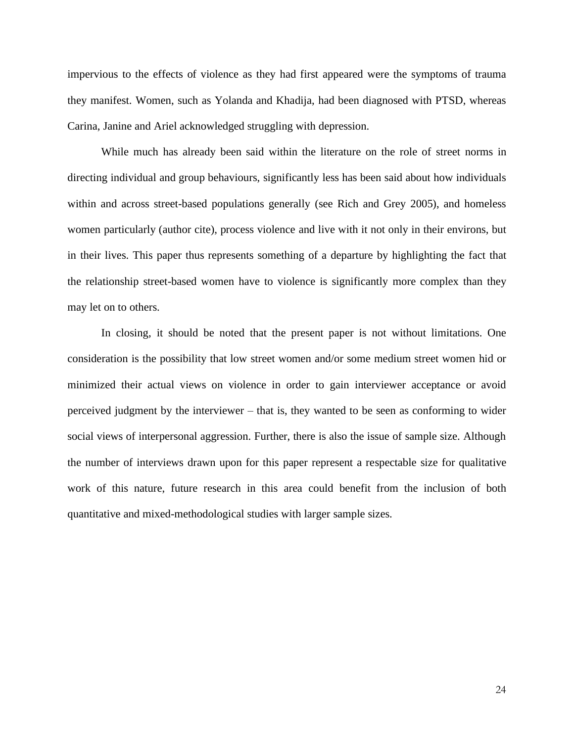impervious to the effects of violence as they had first appeared were the symptoms of trauma they manifest. Women, such as Yolanda and Khadija, had been diagnosed with PTSD, whereas Carina, Janine and Ariel acknowledged struggling with depression.

While much has already been said within the literature on the role of street norms in directing individual and group behaviours, significantly less has been said about how individuals within and across street-based populations generally (see Rich and Grey 2005), and homeless women particularly (author cite), process violence and live with it not only in their environs, but in their lives. This paper thus represents something of a departure by highlighting the fact that the relationship street-based women have to violence is significantly more complex than they may let on to others.

In closing, it should be noted that the present paper is not without limitations. One consideration is the possibility that low street women and/or some medium street women hid or minimized their actual views on violence in order to gain interviewer acceptance or avoid perceived judgment by the interviewer – that is, they wanted to be seen as conforming to wider social views of interpersonal aggression. Further, there is also the issue of sample size. Although the number of interviews drawn upon for this paper represent a respectable size for qualitative work of this nature, future research in this area could benefit from the inclusion of both quantitative and mixed-methodological studies with larger sample sizes.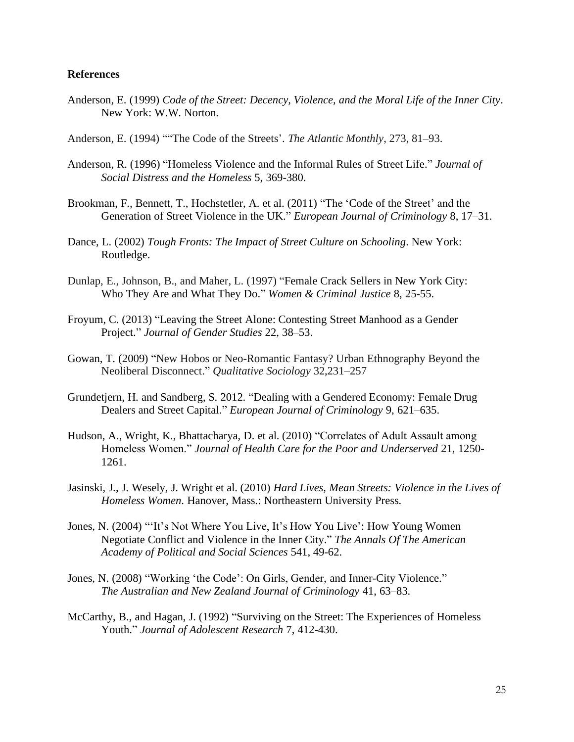# **References**

- Anderson, E. (1999) *Code of the Street: Decency, Violence, and the Moral Life of the Inner City*. New York: W.W. Norton.
- Anderson, E. (1994) ""The Code of the Streets'. *The Atlantic Monthly*, 273, 81–93.
- Anderson, R. (1996) "Homeless Violence and the Informal Rules of Street Life." *Journal of Social Distress and the Homeless* 5, 369-380.
- Brookman, F., Bennett, T., Hochstetler, A. et al. (2011) "The 'Code of the Street' and the Generation of Street Violence in the UK." *European Journal of Criminology* 8, 17–31.
- Dance, L. (2002) *Tough Fronts: The Impact of Street Culture on Schooling*. New York: Routledge.
- Dunlap, E., Johnson, B., and Maher, L. (1997) "Female Crack Sellers in New York City: Who They Are and What They Do." *Women & Criminal Justice* 8, 25-55.
- Froyum, C. (2013) "Leaving the Street Alone: Contesting Street Manhood as a Gender Project." *Journal of Gender Studies* 22, 38–53.
- Gowan, T. (2009) "New Hobos or Neo-Romantic Fantasy? Urban Ethnography Beyond the Neoliberal Disconnect." *Qualitative Sociology* 32,231–257
- Grundetjern, H. and Sandberg, S. 2012. "Dealing with a Gendered Economy: Female Drug Dealers and Street Capital." *European Journal of Criminology* 9, 621–635.
- Hudson, A., Wright, K., Bhattacharya, D. et al. (2010) "Correlates of Adult Assault among Homeless Women." *Journal of Health Care for the Poor and Underserved* 21, 1250- 1261.
- Jasinski, J., J. Wesely, J. Wright et al. (2010) *Hard Lives, Mean Streets: Violence in the Lives of Homeless Women*. Hanover, Mass.: Northeastern University Press.
- Jones, N. (2004) "'It's Not Where You Live, It's How You Live': How Young Women Negotiate Conflict and Violence in the Inner City." *The Annals Of The American Academy of Political and Social Sciences* 541, 49-62.
- Jones, N. (2008) "Working 'the Code': On Girls, Gender, and Inner-City Violence." *The Australian and New Zealand Journal of Criminology* 41, 63–83.
- McCarthy, B., and Hagan, J. (1992) "Surviving on the Street: The Experiences of Homeless Youth." *Journal of Adolescent Research* 7, 412-430.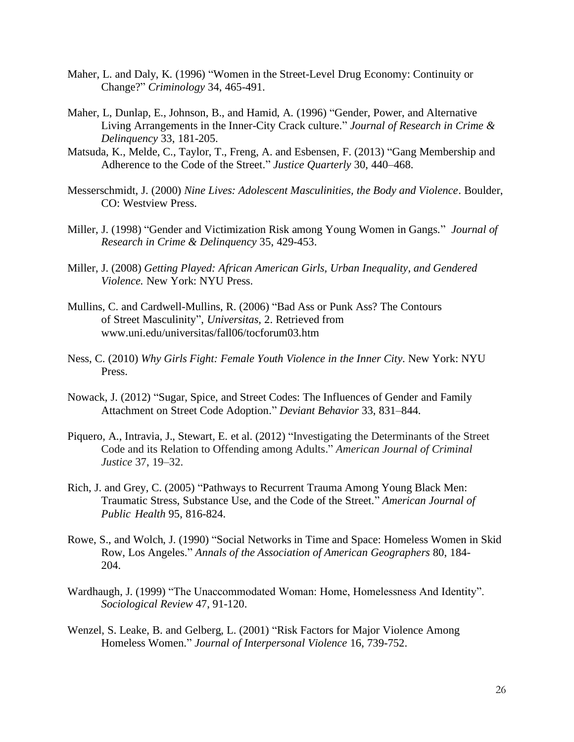- Maher, L. and Daly, K. (1996) "Women in the Street-Level Drug Economy: Continuity or Change?" *Criminology* 34, 465-491.
- Maher, L, Dunlap, E., Johnson, B., and Hamid, A. (1996) "Gender, Power, and Alternative Living Arrangements in the Inner-City Crack culture." *Journal of Research in Crime & Delinquency* 33, 181-205.
- Matsuda, K., Melde, C., Taylor, T., Freng, A. and Esbensen, F. (2013) "Gang Membership and Adherence to the Code of the Street." *Justice Quarterly* 30, 440–468.
- Messerschmidt, J. (2000) *Nine Lives: Adolescent Masculinities, the Body and Violence*. Boulder, CO: Westview Press.
- Miller, J. (1998) "Gender and Victimization Risk among Young Women in Gangs." *Journal of Research in Crime & Delinquency* 35, 429-453.
- Miller, J. (2008) *Getting Played: African American Girls, Urban Inequality, and Gendered Violence.* New York: NYU Press.
- Mullins, C. and Cardwell-Mullins, R. (2006) "Bad Ass or Punk Ass? The Contours of Street Masculinity", *Universitas*, 2. Retrieved from www.uni.edu/universitas/fall06/tocforum03.htm
- Ness, C. (2010) *Why Girls Fight: Female Youth Violence in the Inner City*. New York: NYU Press.
- Nowack, J. (2012) "Sugar, Spice, and Street Codes: The Influences of Gender and Family Attachment on Street Code Adoption." *Deviant Behavior* 33, 831–844.
- Piquero, A., Intravia, J., Stewart, E. et al. (2012) "Investigating the Determinants of the Street Code and its Relation to Offending among Adults." *American Journal of Criminal Justice* 37, 19–32.
- Rich, J. and Grey, C. (2005) "Pathways to Recurrent Trauma Among Young Black Men: Traumatic Stress, Substance Use, and the Code of the Street." *American Journal of Public Health* 95, 816-824.
- Rowe, S., and Wolch, J. (1990) "Social Networks in Time and Space: Homeless Women in Skid Row, Los Angeles." *Annals of the Association of American Geographers* 80, 184- 204.
- Wardhaugh, J. (1999) "The Unaccommodated Woman: Home, Homelessness And Identity". *Sociological Review* 47, 91-120.
- Wenzel, S. Leake, B. and Gelberg, L. (2001) "Risk Factors for Major Violence Among Homeless Women." *Journal of Interpersonal Violence* 16, 739-752.